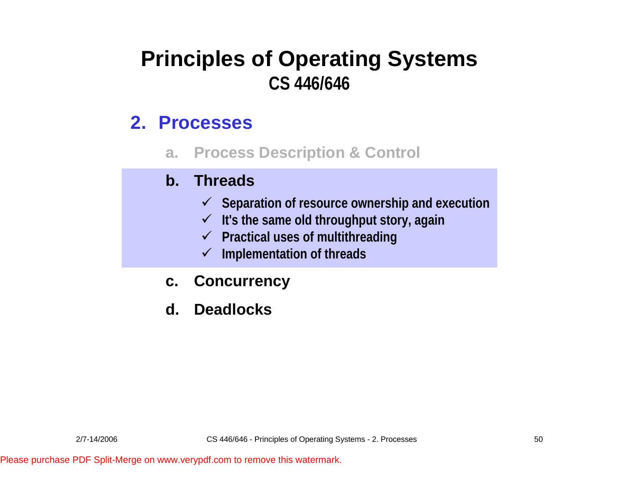### **Principles of Operating Systems CS 446/646**

#### **2. Processes**

**a. Process Description & Control**

#### **b. Threads**

- 9 **Separation of resource ownership and execution**
- 9 **It's the same old throughput story, again**
- 9 **Practical uses of multithreading**
- 9 **Implementation of threads**
- **c. Concurrency**
- **d. Deadlocks**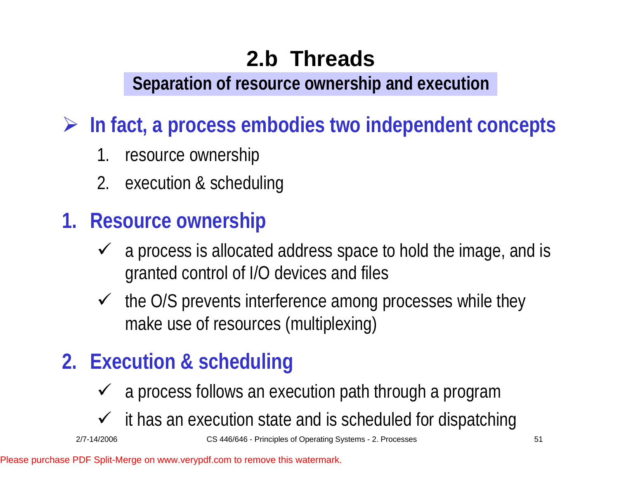**Separation of resource ownership and execution**

¾ **In fact, a process embodies two independent concepts**

- 1.resource ownership
- 2. execution & scheduling
- **1. Resource ownership**
	- $\checkmark$  a process is allocated address space to hold the image, and is granted control of I/O devices and files
	- $\checkmark$  the O/S prevents interference among processes while they make use of resources (multiplexing)

## **2. Execution & scheduling**

- $\checkmark$  a process follows an execution path through a program
- $\checkmark$  it has an execution state and is scheduled for dispatching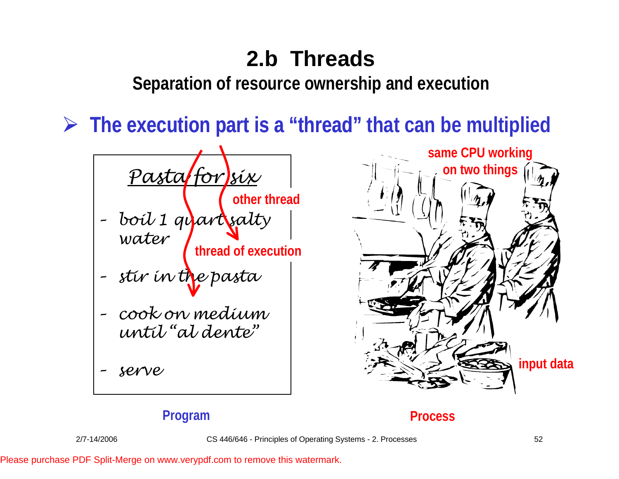**Separation of resource ownership and execution**

¾ **The execution part is a "thread" "thread" that can be multiplied**





#### **Program Process**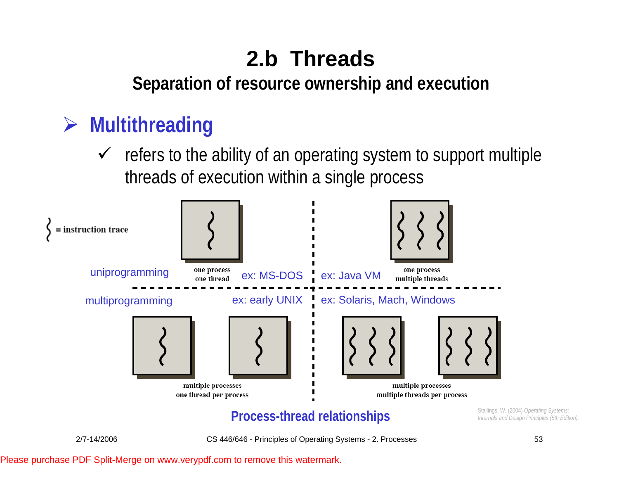#### **Separation of resource ownership and execution**

### ¾ **Multithreading**

 $\sqrt{ }$  refers to the ability of an operating system to support multiple threads of execution within a single process



#### **Process-thread relationships**  $\sum_{\text{Intermals and Design Principles (5th Edition)}}$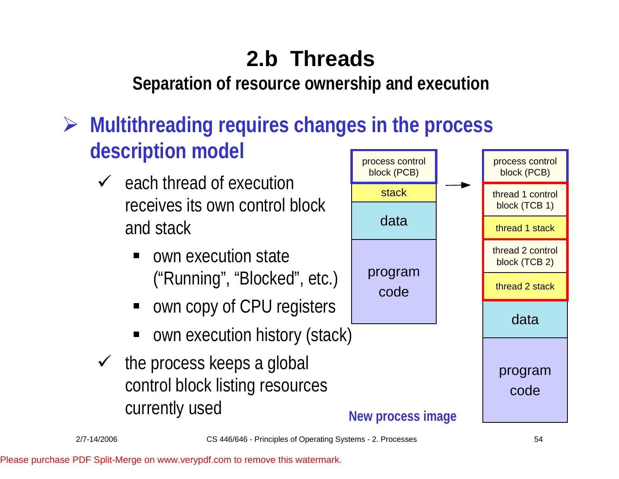**Separation of resource ownership and execution**

## ¾ **Multithreading requires changes in the process description model**

- $\checkmark$  each thread of execution receives its own control block and stack
	- own execution state ("Running", "Blocked", etc.)
	- own copy of CPU registers
	- ٠ own execution history (stack)
- $\checkmark$  the process keeps a global control block listing resources currently used

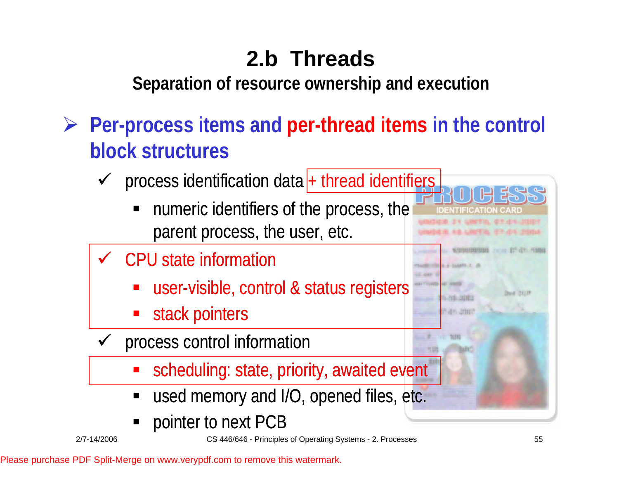**Separation of resource ownership and execution**

- ¾ **Per-process items and per-thread items in the control block structures**
	- $\checkmark$  $\checkmark$  process identification data  $+$  thread identifiers
		- numeric identifiers of the process, the parent process, the user, etc.
	- $\checkmark$  CPU state information
		- user-visible, control & status registers
		- stack pointers
	- $\checkmark$  process control information
		- scheduling: state, priority, awaited event
		- used memory and I/O, opened files, etc.
		- pointer to next PCB

**Band 28129**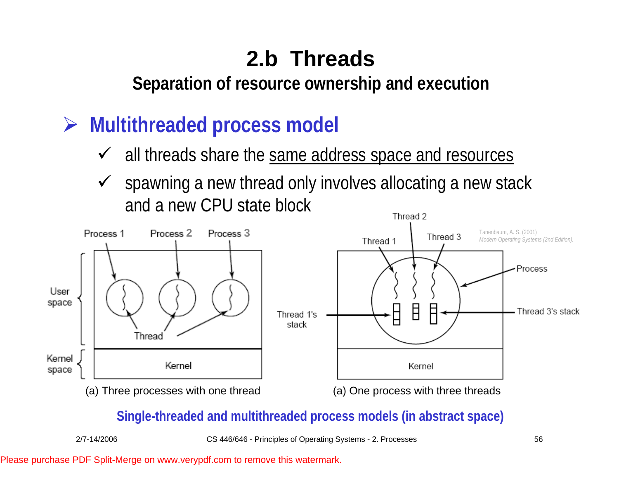**Separation of resource ownership and execution**

- ¾ **Multithreaded process model**
	- $\checkmark$  all threads share the same address space and resources
	- spawning a new thread only involves allocating a new stack  $\checkmark$ and a new CPU state blockThread 2



#### **Single-threaded and multithreaded process models (in abstract space)**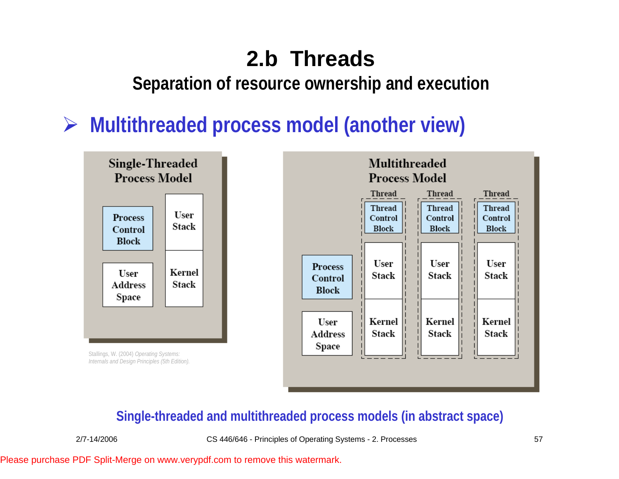#### **Separation of resource ownership and execution**

### ¾ **Multithreaded process model (another view)**



Stallings, W. (2004) *Operating Systems: Internals and Design Principles (5th Edition).* 



#### **Single-threaded and multithreaded process models (in abstract space)**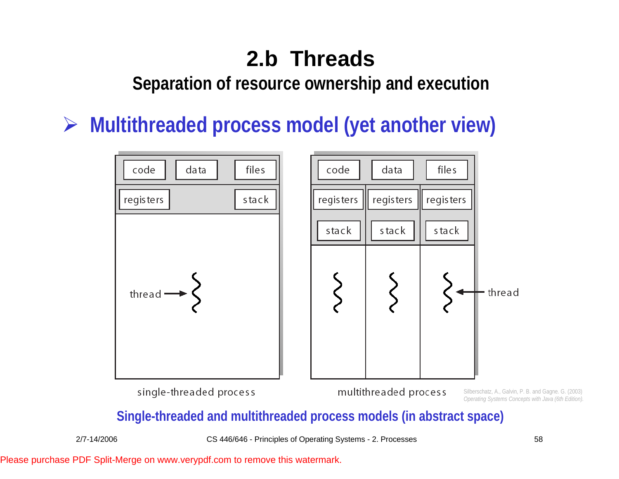**Separation of resource ownership and execution**

¾ **Multithreaded process model (yet another view)** 



#### **Single-threaded and multithreaded process models (in abstract space)**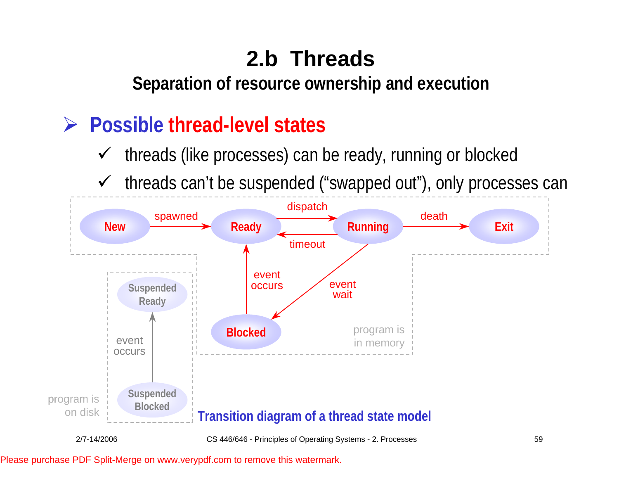**Separation of resource ownership and execution**

#### $\blacktriangleright$ **Possible thread-level states**

- $\checkmark$ threads (like processes) can be ready, running or blocked
- $\checkmark$ threads can't be suspended ("swapped out"), only processes can

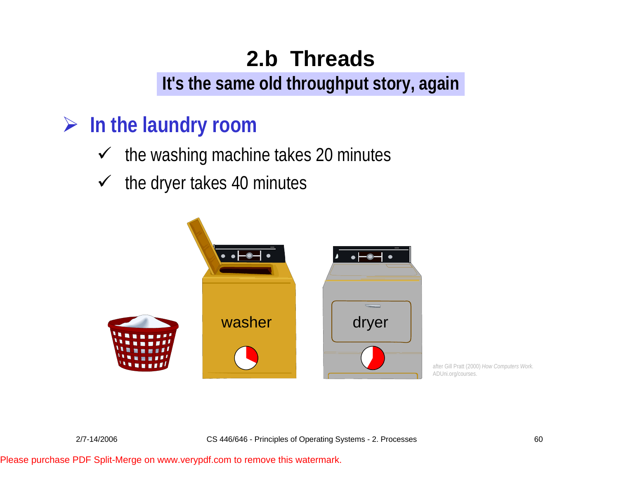**It's the same old throughput story, again**

### ¾ **In the laundry room**

- $\checkmark$  the washing machine takes 20 minutes
- $\checkmark$  the dryer takes 40 minutes



after Gill Pratt (2000) *How Computers Work.* ADUni.org/courses.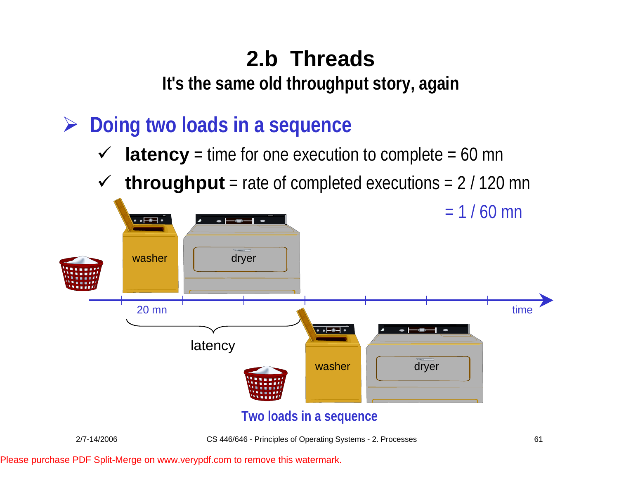**It's the same old throughput story, again**

- ¾ **Doing two loads in a sequence**
	- $\checkmark$ **latency** = time for one execution to complete = 60 mn
	- $\checkmark$ **throughput** = rate of completed executions = 2 / 120 mn

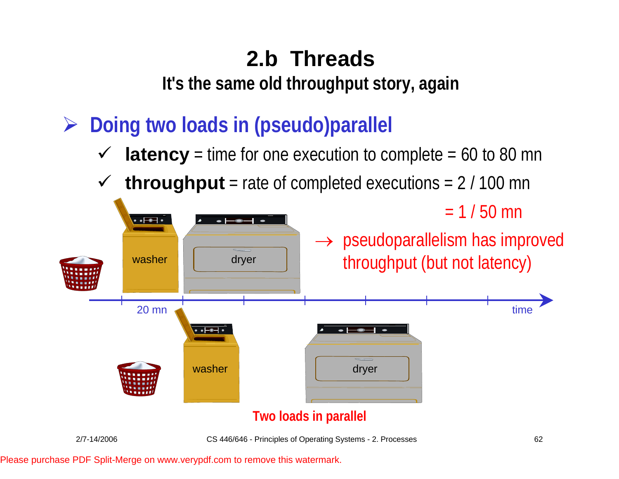**It's the same old throughput story, again**

- ¾ **Doing two loads in (pseudo)parallel**
	- $\checkmark$ **latency** = time for one execution to complete = 60 to 80 mn
	- $\checkmark$ **throughput** = rate of completed executions = 2 / 100 mn

 $= 1 / 50$  mn



#### **Two loads in parallel**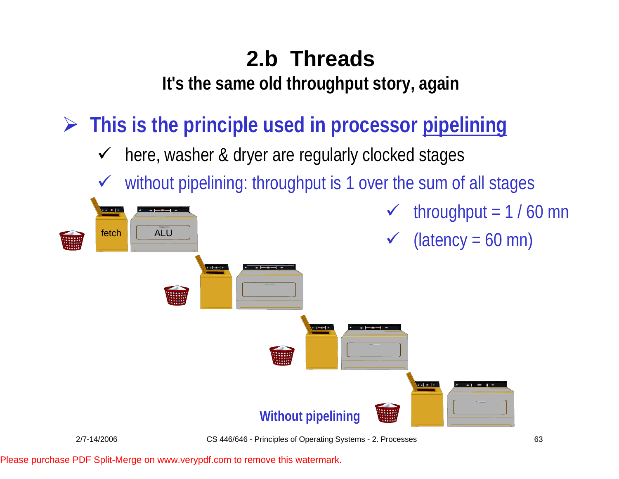**It's the same old throughput story, again**

¾ **This is the principle used in processor pipelining**

- $\checkmark$ here, washer & dryer are regularly clocked stages
- $\checkmark$ without pipelining: throughput is 1 over the sum of all stages

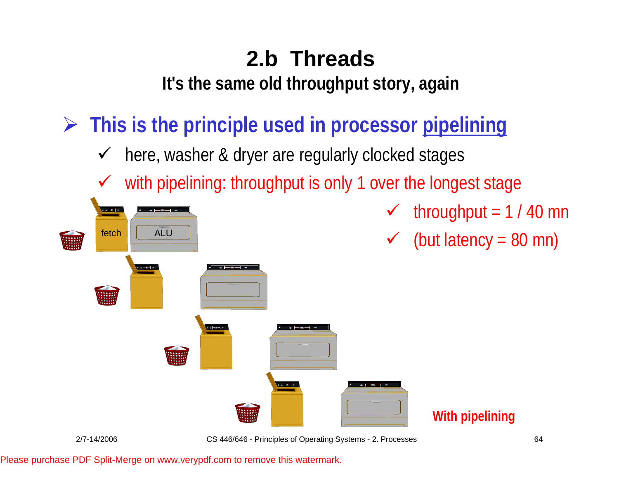**It's the same old throughput story, again**

¾ **This is the principle used in processor pipelining**

- $\checkmark$ here, washer & dryer are regularly clocked stages
- $\checkmark$ with pipelining: throughput is only 1 over the longest stage



- $\checkmark$  throughput = 1 / 40 mn
- $\checkmark$  (but latency = 80 mn)

**With pipelining**

2/7-14/2006 CS 446/646 - Principles of Operating Systems - 2. Processes 64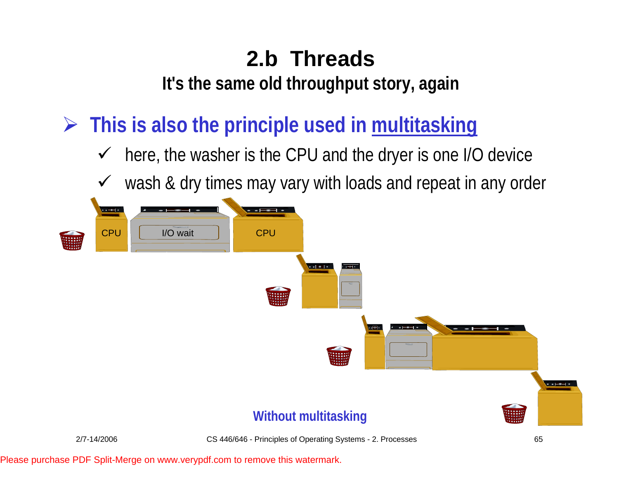**It's the same old throughput story, again**

¾ **This is also the principle used in multitasking**

- $\checkmark$ here, the washer is the CPU and the dryer is one I/O device
- $\checkmark$ wash & dry times may vary with loads and repeat in any order

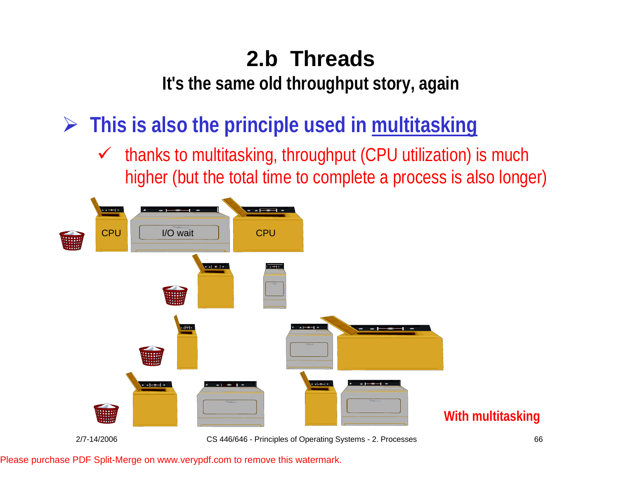**It's the same old throughput story, again**

¾ **This is also the principle used in multitasking**

 $\checkmark$  thanks to multitasking, throughput (CPU utilization) is much higher (but the total time to complete a process is also longer)



2/7-14/2006 CS 446/646 - Principles of Operating Systems - 2. Processes 66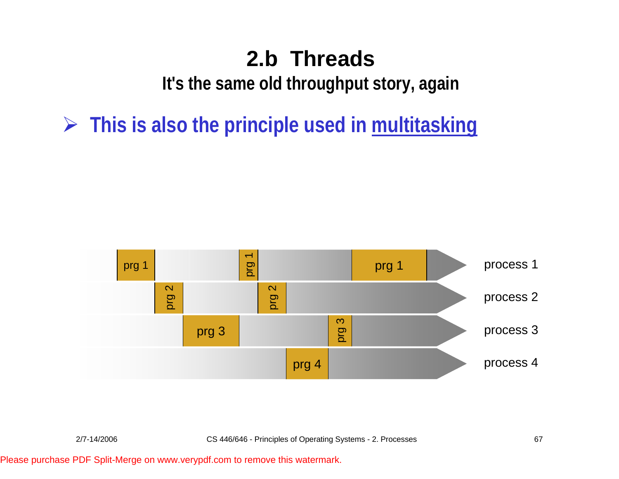**It's the same old throughput story, again**

¾ **This is also the principle used in multitasking**

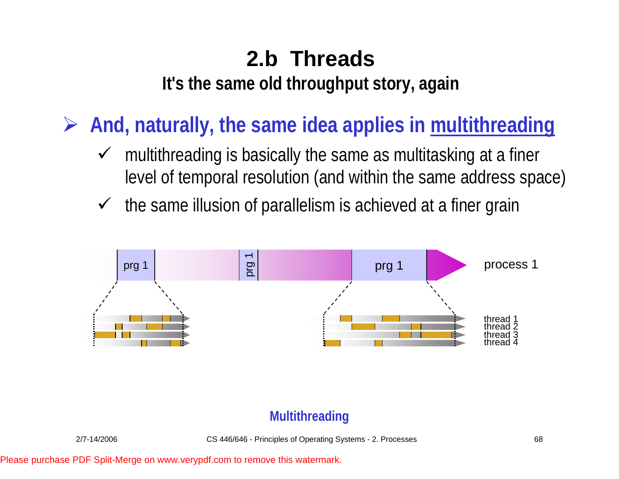**It's the same old throughput story, again**

¾ **And, naturally, the same idea applies in multithreading**

- $\sqrt{ }$  multithreading is basically the same as multitasking at a finer level of temporal resolution (and within the same address space)
- $\checkmark$ the same illusion of parallelism is achieved at a finer grain



#### **Multithreading**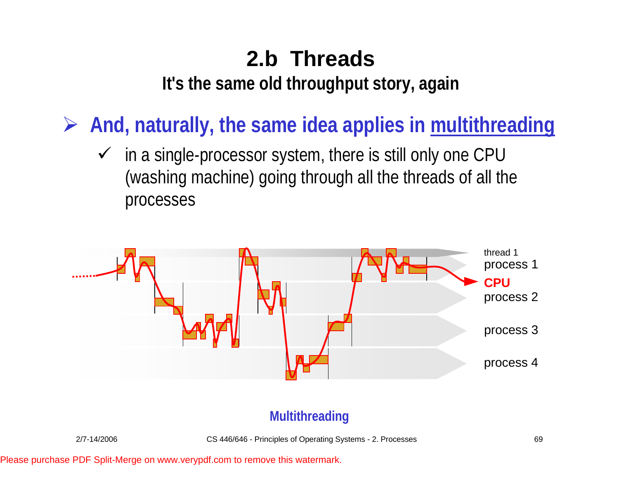**It's the same old throughput story, again**

¾ **And, naturally, the same idea applies in multithreading**

 $\checkmark$  in a single-processor system, there is still only one CPU (washing machine) going through all the threads of all the processes



#### **Multithreading**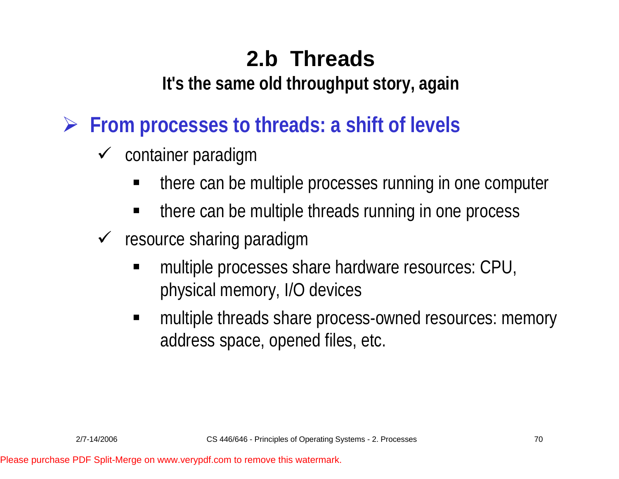**It's the same old throughput story, again**

¾ **From processes to threads: a shift of levels**

- $\checkmark$  container paradigm
	- ٠ there can be multiple processes running in one computer
	- ٠ there can be multiple threads running in one process
- $\checkmark$  resource sharing paradigm
	- ٠ multiple processes share hardware resources: CPU, physical memory, I/O devices
	- multiple threads share process-owned resources: memory address space, opened files, etc.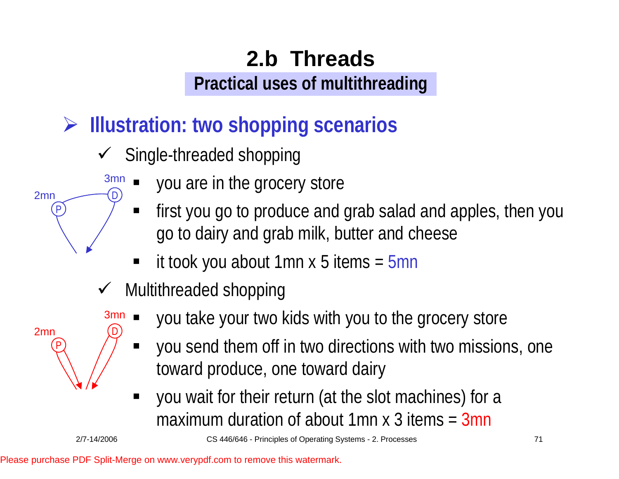# ¾ **Illustration: two shopping scenarios**

- $\checkmark$  Single-threaded shopping
	- ٠ you are in the grocery store 3m n D)
		- $\blacksquare$  first you go to produce and grab salad and apples, then you go to dairy and grab milk, butter and cheese
		- it took you about 1mn x 5 items = 5mn
- $\checkmark$  Multithreaded shopping
	- you take your two kids with you to the grocery store
	- $\blacksquare$  you send them off in two directions with two missions, one toward produce, one toward dairy
	- ٠ you wait for their return (at the slot machines) for a maximum duration of about 1mn x 3 items = 3mn

3m n

D)

2mn

2mn

P

P

2/7-14/2006 CS 446/646 - Principles of Operating Systems - 2. Processes 71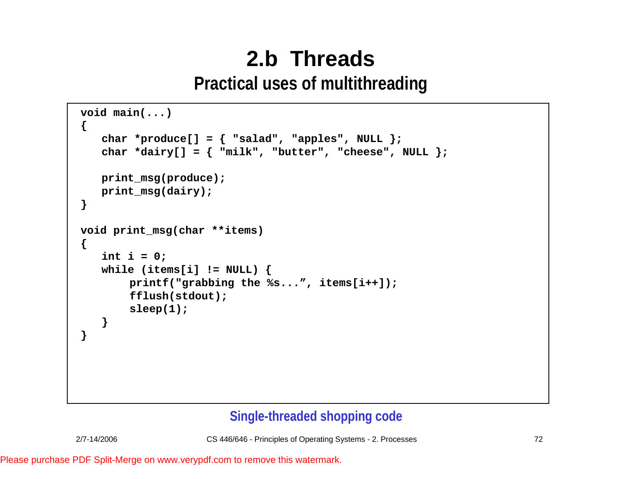```
void main(...)
{
   char *produce[] = { "salad", "apples", NULL };
   char *dairy[] = { "milk", "butter", "cheese", NULL };
   print_msg(produce);
   print_msg(dairy);
}
void print_msg(char **items)
{
   int i = 0;
   while (items[i] != NULL) {
       printf("grabbing the %s...", items[i++]);
       fflush(stdout);
       sleep(1);
   }
}
```
#### **Single-threaded shopping code**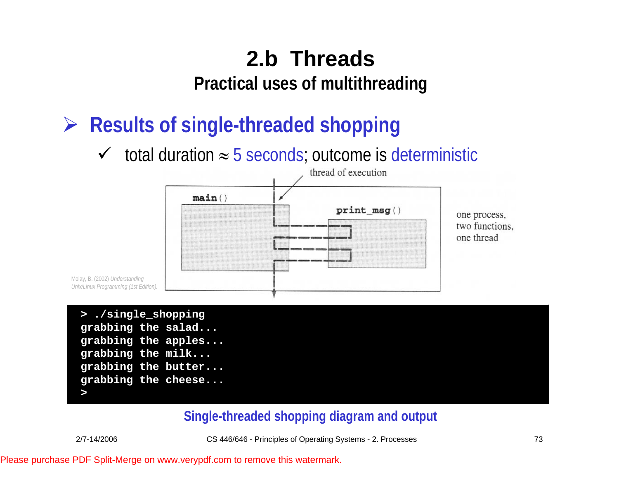¾ **Results of single-threaded shopping**

 $\checkmark$  total duration  $\approx$  5 seconds; outcome is deterministic



Molay, B. (2002) *Understanding Unix/Linux Programming (1st Edition).*

```
> ./single_shopping
grabbing the salad...
grabbing the apples...
grabbing the milk...
grabbing the butter...
grabbing the cheese...
>
```
#### **Single-threaded shopping diagram and output**

2/7-14/2006 CS 446/646 - Principles of Operating Systems - 2. Processes 73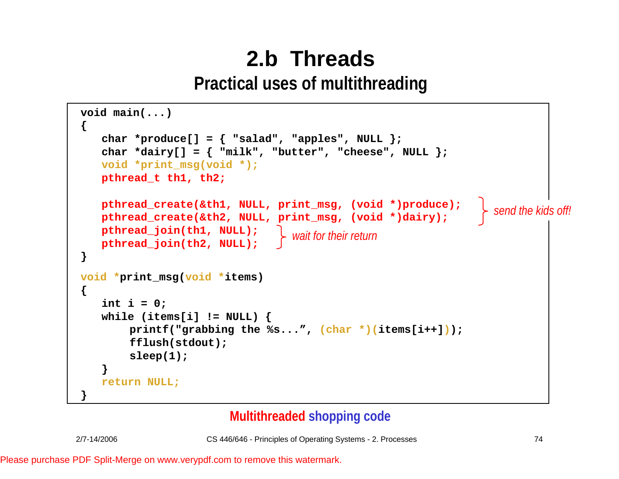```
void main(...)
{
   char *produce[] = { "salad", "apples", NULL };
   char *dairy[] = \{ "milk", "butter", "cheese", NULL \};
   pthread t th1, th2;
void print_msg(char **items)
pthread_join(th1, NULL);
    \mathbf{v} = \mathbf{v} \mathbf{v} = \mathbf{v} \mathbf{v} = \mathbf{v}void *print_msg(void *items)<br>'
         fflush(stdout);
         s = \frac{1}{2};
    }
while (items[i] != NULL) {
   void *print_msg(void *);
   pthread create(&th1, NULL, print msq, (void *)produce);
   pthread_create(&th2, NULL, print_msg, (void *)dairy);
   pthread_join(th2, NULL);
}
{
    int i = 0;
        printf("grabbing the %s...", (char *)(items[i++]));
        fflush(stdout);
        sleep(1);
    }
   return NULL;
}
                                                                          send the kids off!
                                      wait for their return
```
#### **Multithreaded shopping code**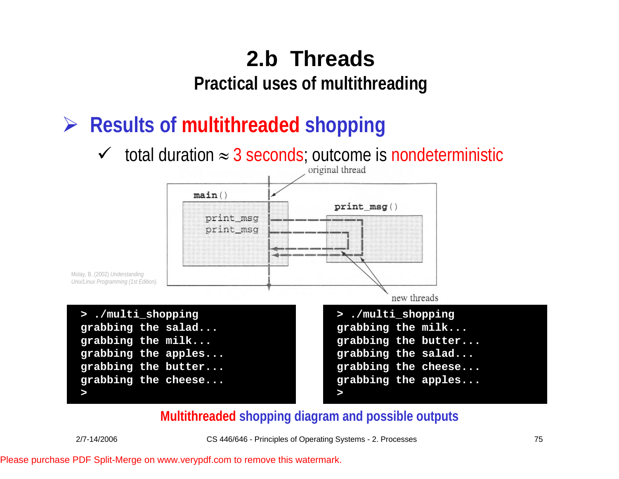**Practical uses of multithreading**

## ¾ **Results of multithreaded shopping**

 $\checkmark$  total duration  $\approx 3$  seconds; outcome is nondeterministic



#### **Multithreaded shopping diagram and possible outputs**

**>**

2/7-14/2006 CS 446/646 - Principles of Operating Systems - 2. Processes 75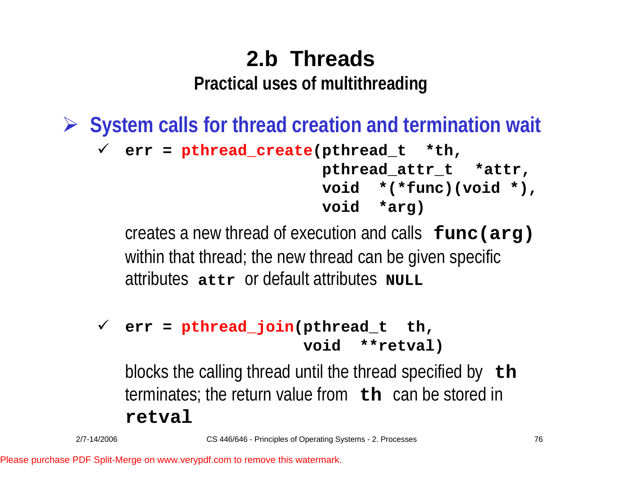¾ **System calls for thread creation and termination wait** 9 **err = pthread\_create(pthread\_t \*th, pthread\_attr\_t \*attr, void \*(\*func)(void \*), void \*arg)**

> creates a new thread of execution and calls **func(arg)**  within that thread; the new thread can be given specific attributes **attr** or default attributes **NULL**

#### 9 **err = pthread\_join(pthread\_t th, void \*\*retval)**

blocks the calling thread until the thread specified by **th**  terminates; the return value from **th** can be stored in **retval**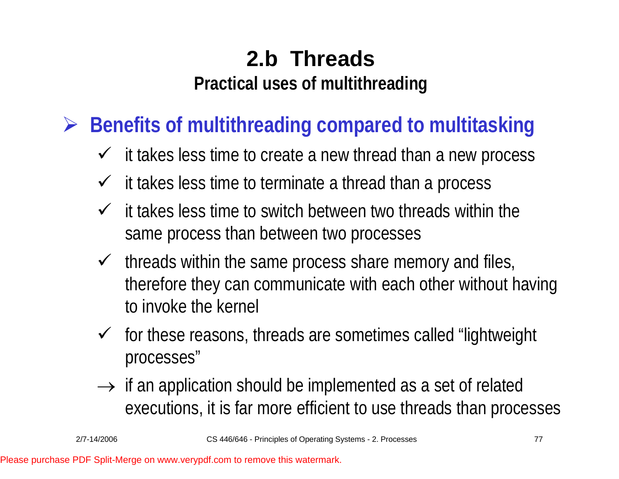¾ **Benefits of multithreading compared to multitasking**

- $\checkmark$  it takes less time to create a new thread than a new process
- $\checkmark$ it takes less time to terminate a thread than a process
- $\checkmark$  it takes less time to switch between two threads within the same process than between two processes
- $\checkmark$  threads within the same process share memory and files, therefore they can communicate with each other without having to invoke the kernel
- $\checkmark$  for these reasons, threads are sometimes called "lightweight processes"
- $\rightarrow$  if an application should be implemented as a set of related executions, it is far more efficient to use threads than processes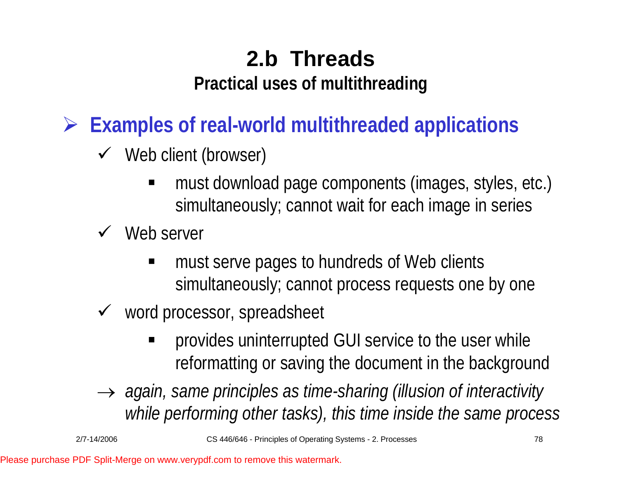**Practical uses of multithreading**

¾ **Examples of real-world multithreaded applications**

- $\checkmark$  Web client (browser)
	- E must download page components (images, styles, etc.) simultaneously; cannot wait for each image in series
- $\checkmark$  Web server
	- must serve pages to hundreds of Web clients simultaneously; cannot process requests one by one
- $\checkmark$  word processor, spreadsheet
	- provides uninterrupted GUI service to the user while reformatting or saving the document in the background
- $\rightarrow$  again, same principles as time-sharing (illusion of interactivity *while performing other tasks), this time inside the same process*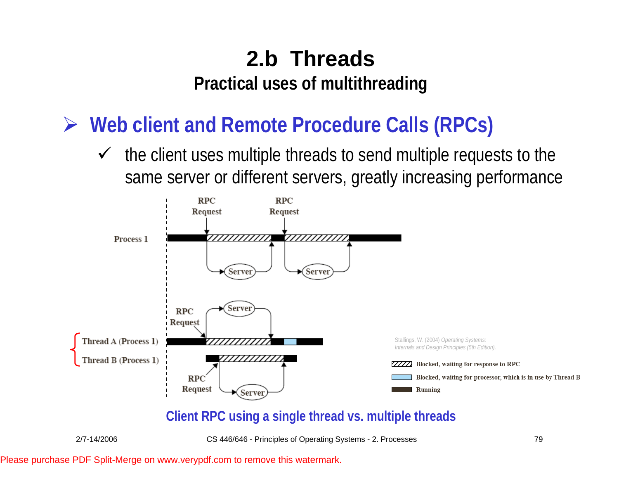¾ **Web client and Remote Procedure Calls (RPCs)**

 $\sqrt{ }$  the client uses multiple threads to send multiple requests to the same server or different servers, greatly increasing performance



#### **Client RPC using a single thread vs. multiple threads**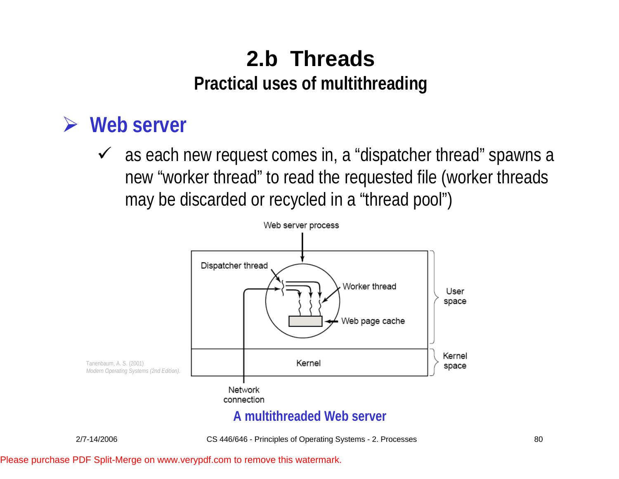### ¾ **Web server**

 $\checkmark$  as each new request comes in, a "dispatcher thread" spawns a new "worker thread" to read the requested file (worker threads may be discarded or recycled in a "thread pool")

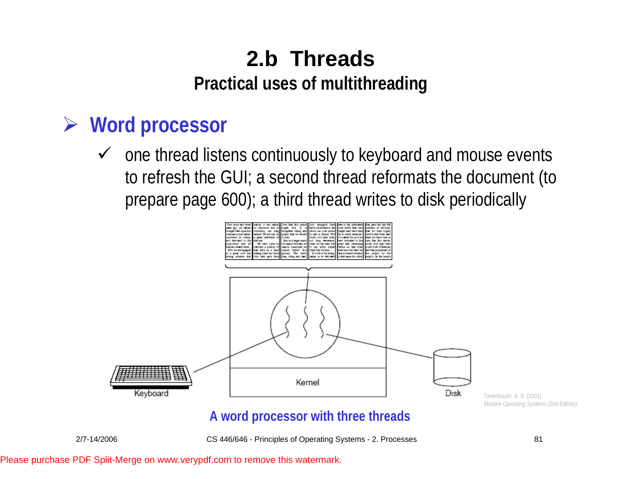### ¾ **Word processor**

 $\checkmark$  one thread listens continuously to keyboard and mouse events to refresh the GUI; a second thread reformats the document (to prepare page 600); a third thread writes to disk periodically



Tanenbaum, A. S. (2001) *Modern Operating Systems (2nd Edition).* 

#### **A word processor with three threads**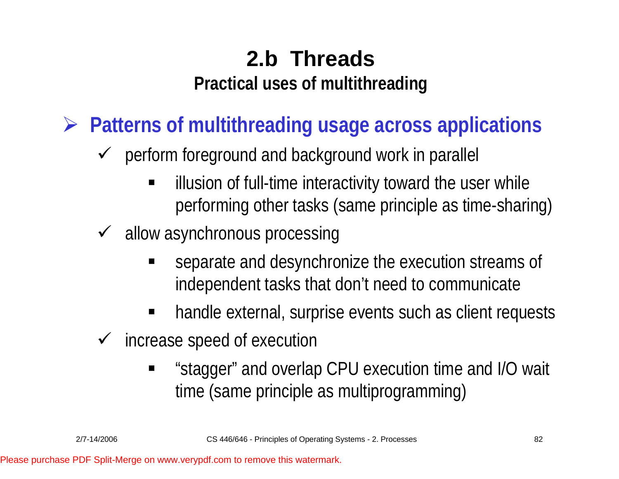¾ **Patterns of multithreading usage across applications**

- $\checkmark$  perform foreground and background work in parallel
	- E illusion of full-time interactivity toward the user while performing other tasks (same principle as time-sharing)
- $\sqrt{ }$  allow asynchronous processing
	- separate and desynchronize the execution streams of independent tasks that don't need to communicate
	- handle external, surprise events such as client requests
- $\checkmark$  increase speed of execution
	- E "stagger" and overlap CPU execution time and I/O wait time (same principle as multiprogramming)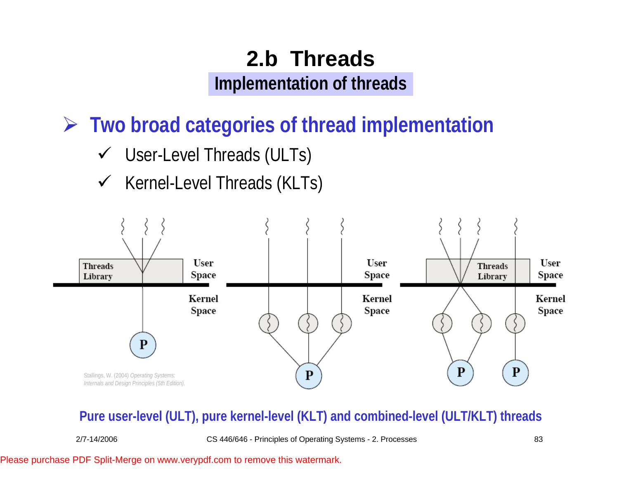¾ **Two broad categories of thread implementation**

- $\checkmark$  User-Level Threads (ULTs)
- $\checkmark$  Kernel-Level Threads (KLTs)



#### **Pure user-level (ULT), pure kernel-level (KLT) and combined-level (ULT/KLT) threads**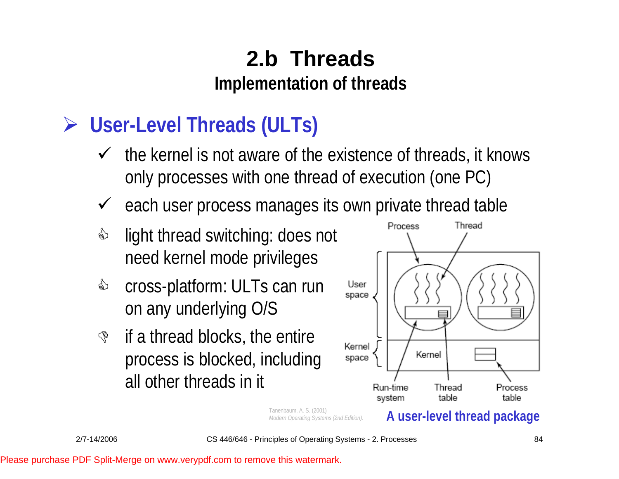## ¾ **User-Level Threads (ULTs)**

- $\checkmark$  the kernel is not aware of the existence of threads, it knows only processes with one thread of execution (one PC)
- $\checkmark$ each user process manages its own private thread table
- </u> light thread switching: does not need kernel mode privileges
- & cross-platform: ULTs can run on any underlying O/S
- $\mathbb{S}$  if a thread blocks, the entire process is blocked, including all other threads in it



Tanenbaum, A. S. (2001) *Modern Operating Systems (2nd Edition).*  **A user-level thread package**

2/7-14/2006 CS 446/646 - Principles of Operating Systems - 2. Processes 84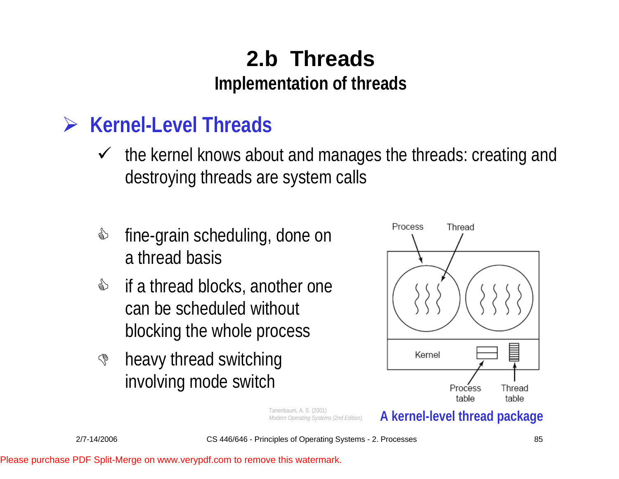### ¾ **Kernel-Level Threads**

- $\checkmark$  the kernel knows about and manages the threads: creating and destroying threads are system calls
- </u> fine-grain scheduling, done on a thread basis
- & if a thread blocks, another one can be scheduled without blocking the whole process
- $\mathbb{S}$  heavy thread switching involving mode switch



Tanenbaum, A. S. (2001) *Modern Operating Systems (2nd Edition).*  **A kernel-level thread package**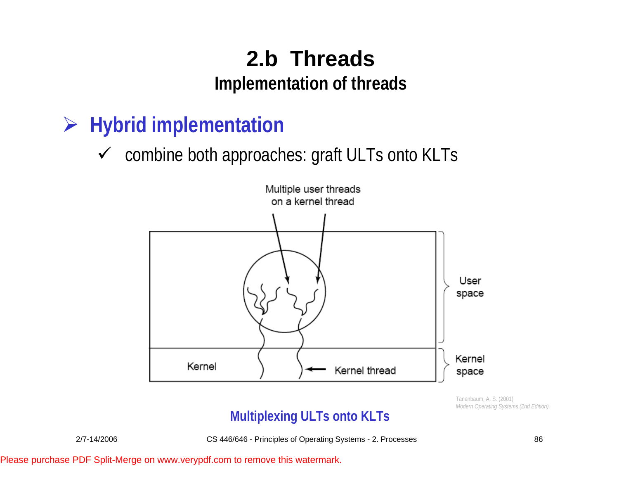- ¾ **Hybrid implementation**
	- $\checkmark$  combine both approaches: graft ULTs onto KLTs



Tanenbaum, A. S. (2001) *Modern Operating Systems (2nd Edition).* 

#### **Multiplexing ULTs onto KLTs**